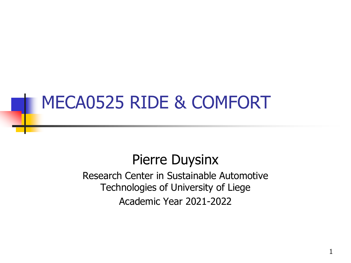# MECA0525 RIDE & COMFORT

#### Pierre Duysinx

Research Center in Sustainable Automotive Technologies of University of Liege Academic Year 2021-2022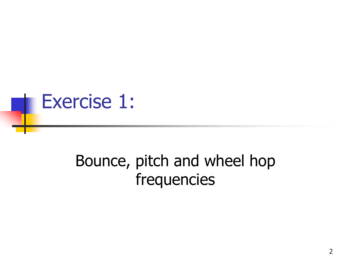

# Bounce, pitch and wheel hop frequencies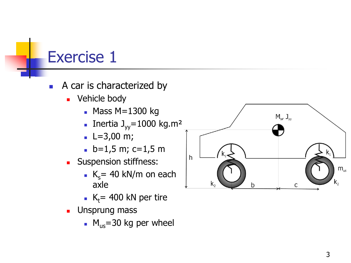- A car is characterized by
	- Vehicle body
		- $M = 1300$  kg
		- **Inertia**  $J_{yy} = 1000 \text{ kg.m}^2$
		- $\blacksquare$  L=3,00 m;
		- $\blacksquare$  b=1,5 m; c=1,5 m
	- Suspension stiffness:
		- $K_s$  = 40 kN/m on each axle
		- $K_t$ = 400 kN per tire
	- **■** Unsprung mass
		- $M_{us}$ =30 kg per wheel

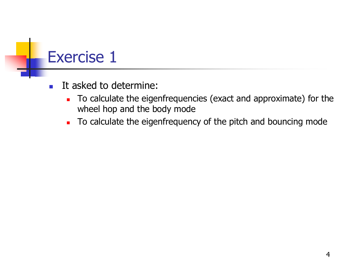- It asked to determine:
	- To calculate the eigenfrequencies (exact and approximate) for the wheel hop and the body mode
	- To calculate the eigenfrequency of the pitch and bouncing mode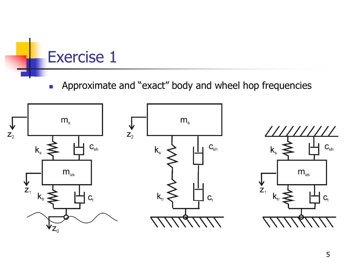■ Approximate and "exact" body and wheel hop frequencies



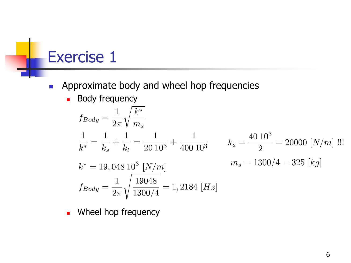- Approximate body and wheel hop frequencies
	- Body frequency

$$
f_{Body} = \frac{1}{2\pi} \sqrt{\frac{k^*}{m_s}}
$$
  
\n
$$
\frac{1}{k^*} = \frac{1}{k_s} + \frac{1}{k_t} = \frac{1}{20 \ 10^3} + \frac{1}{400 \ 10^3}
$$
  
\n
$$
k_s = \frac{40 \ 10^3}{2} = 20000 \ [N/m] \text{ ...}
$$
  
\n
$$
k^* = 19,048 \ 10^3 \ [N/m]
$$
  
\n
$$
m_s = 1300/4 = 325 \ [kg]
$$
  
\n
$$
f_{Body} = \frac{1}{2\pi} \sqrt{\frac{19048}{1300/4}} = 1,2184 \ [Hz]
$$

■ Wheel hop frequency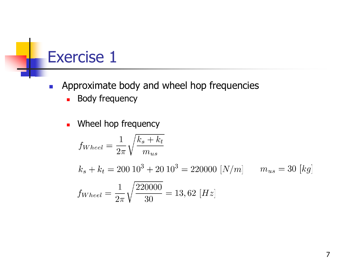- Approximate body and wheel hop frequencies
	- Body frequency
	- Wheel hop frequency

$$
f_{Wheel} = \frac{1}{2\pi} \sqrt{\frac{k_s + k_t}{m_{us}}}
$$
  
\n
$$
k_s + k_t = 200 \, 10^3 + 20 \, 10^3 = 220000 \, [N/m] \qquad m_{us} = 30 \, [kg]
$$
  
\n
$$
f_{Wheel} = \frac{1}{2\pi} \sqrt{\frac{220000}{30}} = 13,62 \, [Hz]
$$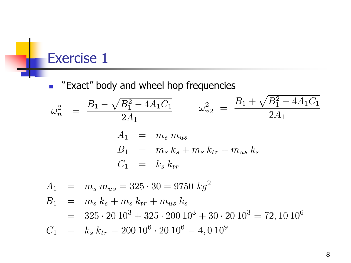■ "Exact" body and wheel hop frequencies

$$
\omega_{n1}^2 = \frac{B_1 - \sqrt{B_1^2 - 4A_1C_1}}{2A_1} \qquad \omega_{n2}^2 = \frac{B_1 + \sqrt{B_1^2 - 4A_1C_1}}{2A_1}
$$

$$
A_1 = m_s m_{us}
$$

$$
B_1 = m_s k_s + m_s k_{tr} + m_{us} k_s
$$

$$
C_1 = k_s k_{tr}
$$

$$
A_1 = m_s m_{us} = 325 \cdot 30 = 9750 \text{ kg}^2
$$
  
\n
$$
B_1 = m_s k_s + m_s k_{tr} + m_{us} k_s
$$
  
\n
$$
= 325 \cdot 20 10^3 + 325 \cdot 200 10^3 + 30 \cdot 20 10^3 = 72, 10 10^6
$$
  
\n
$$
C_1 = k_s k_{tr} = 200 10^6 \cdot 20 10^6 = 4, 0 10^9
$$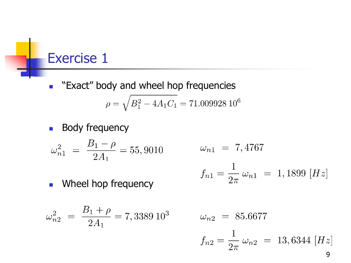- "Exact" body and wheel hop frequencies  $\rho = \sqrt{B_1^2 - 4A_1C_1} = 71.00992810^6$
- Body frequency

$$
\omega_{n1}^2 = \frac{B_1 - \rho}{2A_1} = 55,9010
$$

$$
\omega_{n1}~=~7,4767
$$

$$
f_{n1} = \frac{1}{2\pi} \,\omega_{n1} = 1,1899 \, [Hz]
$$

■ Wheel hop frequency

$$
\omega_{n2}^2 = \frac{B_1 + \rho}{2A_1} = 7,3389 \ 10^3
$$

$$
\omega_{n2} = 85.6677
$$
  

$$
f_{n2} = \frac{1}{2\pi} \omega_{n2} = 13,6344 \, [Hz]
$$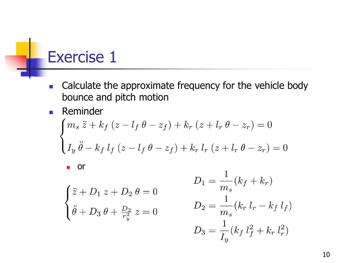- Calculate the approximate frequency for the vehicle body bounce and pitch motion
- Reminder

$$
\begin{cases} m_s \ddot{z} + k_f (z - l_f \theta - z_f) + k_r (z + l_r \theta - z_r) = 0 \\ I_y \ddot{\theta} - k_f l_f (z - l_f \theta - z_f) + k_r l_r (z + l_r \theta - z_r) = 0 \end{cases}
$$

■ or

$$
\begin{cases} \ddot{z} + D_1 z + D_2 \theta = 0 \\ \ddot{\theta} + D_3 \theta + \frac{D_2}{r_y^2} z = 0 \end{cases}
$$

$$
D_1 = \frac{1}{m_s} (k_f + k_r)
$$
  
\n
$$
D_2 = \frac{1}{m_s} (k_r l_r - k_f l_f)
$$
  
\n
$$
D_3 = \frac{1}{I_y} (k_f l_f^2 + k_r l_r^2)
$$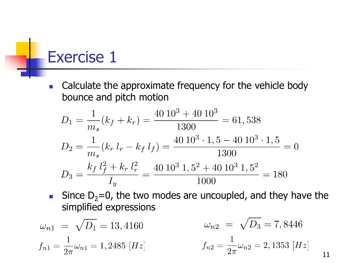■ Calculate the approximate frequency for the vehicle body bounce and pitch motion

$$
D_1 = \frac{1}{m_s}(k_f + k_r) = \frac{40 \, 10^3 + 40 \, 10^3}{1300} = 61,538
$$
  
\n
$$
D_2 = \frac{1}{m_s}(k_r \, l_r - k_f \, l_f) = \frac{40 \, 10^3 \cdot 1,5 - 40 \, 10^3 \cdot 1,5}{1300} = 0
$$
  
\n
$$
D_3 = \frac{k_f \, l_f^2 + k_r \, l_r^2}{I_y} = \frac{40 \, 10^3 \, 1,5^2 + 40 \, 10^3 \, 1,5^2}{1000} = 180
$$

■ Since  $D_2=0$ , the two modes are uncoupled, and they have the simplified expressions

$$
\omega_{n1} = \sqrt{D_1} = 13,4160 \qquad \qquad \omega_{n2} = \sqrt{D_3} = 7,8446
$$
  

$$
f_{n1} = \frac{1}{2\pi} \omega_{n1} = 1,2485 \ [Hz] \qquad \qquad f_{n2} = \frac{1}{2\pi} \omega_{n2} = 2,1353 \ [Hz]
$$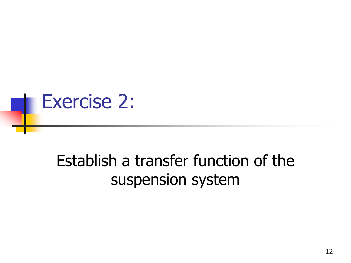

# Establish a transfer function of the suspension system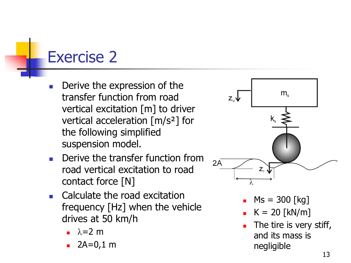- Derive the expression of the transfer function from road vertical excitation [m] to driver vertical acceleration [m/s²] for the following simplified suspension model.
- Derive the transfer function from road vertical excitation to road contact force [N]
- Calculate the road excitation frequency [Hz] when the vehicle drives at 50 km/h
	- $\lambda$ =2 m
	- $2A=0,1$  m



- $MS = 300$  [kg]
- $K = 20$  [kN/m]
- The tire is very stiff, and its mass is negligible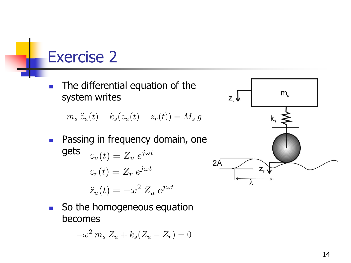■ The differential equation of the system writes

 $m_s \ddot{z}_u(t) + k_s(z_u(t) - z_r(t)) = M_s g$ 

- Passing in frequency domain, one gets  $z_u(t) = Z_u e^{j\omega t}$  $z_r(t) = Z_r e^{j\omega t}$  $\ddot{z}_u(t) = -\omega^2 Z_u e^{j\omega t}$
- So the homogeneous equation becomes

$$
-\omega^2 m_s Z_u + k_s (Z_u - Z_r) = 0
$$

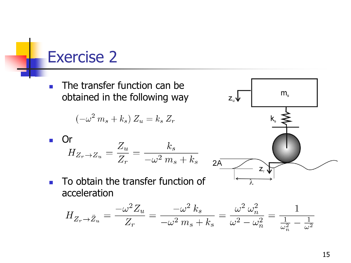The transfer function can be obtained in the following way

$$
(-\omega^2 m_s + k_s) Z_u = k_s Z_r
$$

• Or  
\n
$$
H_{Z_r \to Z_u} = \frac{Z_u}{Z_r} = \frac{k_s}{-\omega^2 m_s + k_s}
$$

■ To obtain the transfer function of acceleration

 $H_{Z_r \to Z_u} = \frac{-\omega^2 Z_u}{Z_r} = \frac{-\omega^2 k_s}{-\omega^2 m_s + k_s} = \frac{\omega^2 \omega_n^2}{\omega^2 - \omega_n^2} = \frac{1}{\frac{1}{\omega_n^2} - \frac{1}{\omega^2}}$ 

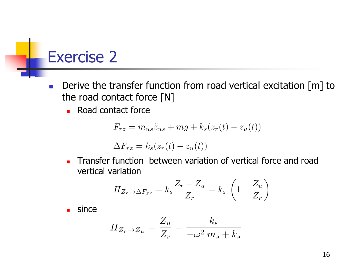- Derive the transfer function from road vertical excitation [m] to the road contact force [N]
	- Road contact force

$$
F_{rz} = m_{us}\ddot{z}_{us} + mg + k_s(z_r(t) - z_u(t))
$$

$$
\Delta F_{rz} = k_s(z_r(t) - z_u(t))
$$

■ Transfer function between variation of vertical force and road vertical variation

$$
H_{Z_r \to \Delta F_{zr}} = k_s \frac{Z_r - Z_u}{Z_r} = k_s \left( 1 - \frac{Z_u}{Z_r} \right)
$$

since

$$
H_{Z_r \to Z_u} = \frac{Z_u}{Z_r} = \frac{k_s}{-\omega^2 m_s + k_s}
$$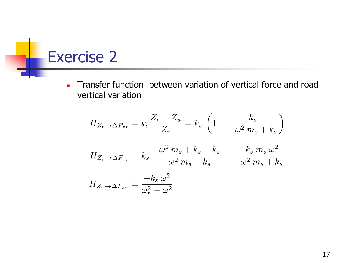■ Transfer function between variation of vertical force and road vertical variation

$$
H_{Z_r \to \Delta F_{zr}} = k_s \frac{Z_r - Z_u}{Z_r} = k_s \left( 1 - \frac{k_s}{-\omega^2 m_s + k_s} \right)
$$
  

$$
H_{Z_r \to \Delta F_{zr}} = k_s \frac{-\omega^2 m_s + k_s - k_s}{-\omega^2 m_s + k_s} = \frac{-k_s m_s \omega^2}{-\omega^2 m_s + k_s}
$$
  

$$
H_{Z_r \to \Delta F_{zr}} = \frac{-k_s \omega^2}{\omega_n^2 - \omega^2}
$$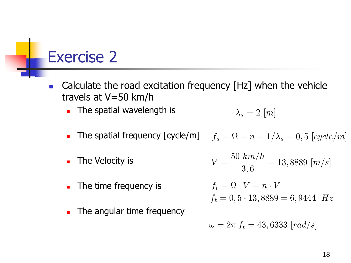- Calculate the road excitation frequency [Hz] when the vehicle travels at V=50 km/h
	- The spatial wavelength is

$$
\lambda_s = 2 \ [m]
$$

- The spatial frequency  $[\text{cycle/m}]$  $f_s = \Omega = n = 1/\lambda_s = 0.5$  [cycle/m]
- $V = \frac{50 \; km/h}{3 \; 6} = 13,8889 \; [m/s]$ The Velocity is
- The time frequency is

 $f_t = \Omega \cdot V = n \cdot V$  $f_t = 0, 5 \cdot 13,8889 = 6,9444$  [Hz]

The angular time frequency

$$
\omega=2\pi f_t=43,6333\ [rad/s]
$$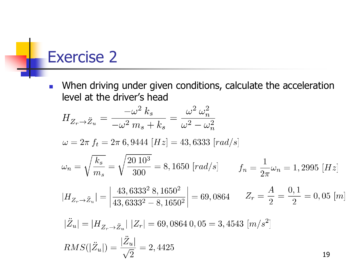■ When driving under given conditions, calculate the acceleration level at the driver's head

$$
H_{Z_r \to Z_u} = \frac{-\omega^2 k_s}{-\omega^2 m_s + k_s} = \frac{\omega^2 \omega_n^2}{\omega^2 - \omega_n^2}
$$

 $\omega = 2\pi f_t = 2\pi 6,9444$  [Hz] = 43,6333 [rad/s]

$$
\omega_n = \sqrt{\frac{k_s}{m_s}} = \sqrt{\frac{20 \, 10^3}{300}} = 8,1650 \, [rad/s] \qquad f_n = \frac{1}{2\pi} \omega_n = 1,2995 \, [Hz]
$$

$$
|H_{Z_r \to Z_u}| = \left| \frac{43,6333^2 \ 8,1650^2}{43,6333^2 - 8,1650^2} \right| = 69,0864 \qquad Z_r = \frac{A}{2} = \frac{0,1}{2} = 0,05 \ [m]
$$

$$
|\ddot{Z}_u| = |H_{Z_r \to \ddot{Z}_u}| |Z_r| = 69,0864 0,05 = 3,4543 [m/s^2]
$$
  

$$
RMS(|\ddot{Z}_u|) = \frac{|\ddot{Z}_u|}{\sqrt{2}} = 2,4425
$$